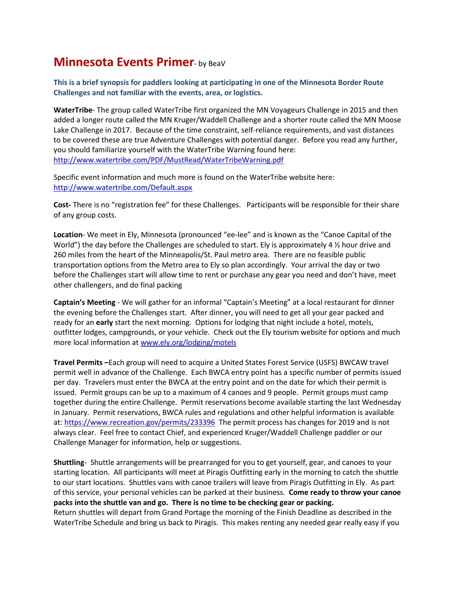## **Minnesota Events Primer- by BeaV**

**This is a brief synopsis for paddlers looking at participating in one of the Minnesota Border Route Challenges and not familiar with the events, area, or logistics.**

**WaterTribe**- The group called WaterTribe first organized the MN Voyageurs Challenge in 2015 and then added a longer route called the MN Kruger/Waddell Challenge and a shorter route called the MN Moose Lake Challenge in 2017. Because of the time constraint, self-reliance requirements, and vast distances to be covered these are true Adventure Challenges with potential danger. Before you read any further, you should familiarize yourself with the WaterTribe Warning found here: <http://www.watertribe.com/PDF/MustRead/WaterTribeWarning.pdf>

Specific event information and much more is found on the WaterTribe website here: <http://www.watertribe.com/Default.aspx>

**Cost-** There is no "registration fee" for these Challenges. Participants will be responsible for their share of any group costs.

**Location**- We meet in Ely, Minnesota (pronounced "ee-lee" and is known as the "Canoe Capital of the World") the day before the Challenges are scheduled to start. Ely is approximately 4  $\frac{1}{2}$  hour drive and 260 miles from the heart of the Minneapolis/St. Paul metro area. There are no feasible public transportation options from the Metro area to Ely so plan accordingly. Your arrival the day or two before the Challenges start will allow time to rent or purchase any gear you need and don't have, meet other challengers, and do final packing

**Captain's Meeting** - We will gather for an informal "Captain's Meeting" at a local restaurant for dinner the evening before the Challenges start. After dinner, you will need to get all your gear packed and ready for an **early** start the next morning. Options for lodging that night include a hotel, motels, outfitter lodges, campgrounds, or your vehicle. Check out the Ely tourism website for options and much more local information a[t www.ely.org/lodging/motels](http://www.ely.org/lodging/motels)

**Travel Permits –**Each group will need to acquire a United States Forest Service (USFS) BWCAW travel permit well in advance of the Challenge. Each BWCA entry point has a specific number of permits issued per day. Travelers must enter the BWCA at the entry point and on the date for which their permit is issued. Permit groups can be up to a maximum of 4 canoes and 9 people. Permit groups must camp together during the entire Challenge. Permit reservations become available starting the last Wednesday in January. Permit reservations, BWCA rules and regulations and other helpful information is available at:<https://www.recreation.gov/permits/233396> The permit process has changes for 2019 and is not always clear. Feel free to contact Chief, and experienced Kruger/Waddell Challenge paddler or our Challenge Manager for information, help or suggestions.

**Shuttling**- Shuttle arrangements will be prearranged for you to get yourself, gear, and canoes to your starting location. All participants will meet at Piragis Outfitting early in the morning to catch the shuttle to our start locations. Shuttles vans with canoe trailers will leave from Piragis Outfitting in Ely. As part of this service, your personal vehicles can be parked at their business. **Come ready to throw your canoe packs into the shuttle van and go. There is no time to be checking gear or packing.** Return shuttles will depart from Grand Portage the morning of the Finish Deadline as described in the WaterTribe Schedule and bring us back to Piragis. This makes renting any needed gear really easy if you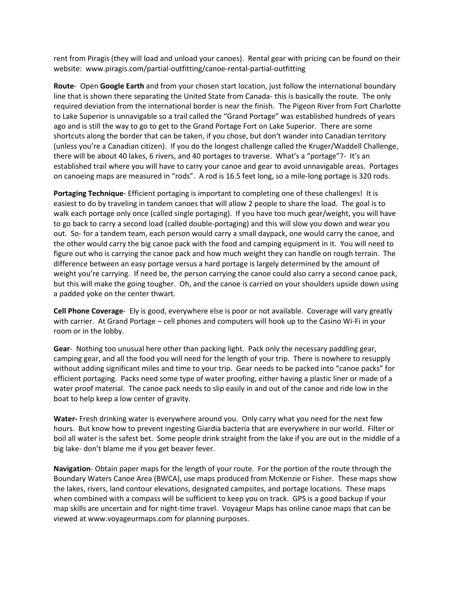rent from Piragis (they will load and unload your canoes). Rental gear with pricing can be found on their website: www.piragis.com/partial-outfitting/canoe-rental-partial-outfitting

**Route**- Open **Google Earth** and from your chosen start location, just follow the international boundary line that is shown there separating the United State from Canada- this is basically the route. The only required deviation from the international border is near the finish. The Pigeon River from Fort Charlotte to Lake Superior is unnavigable so a trail called the "Grand Portage" was established hundreds of years ago and is still the way to go to get to the Grand Portage Fort on Lake Superior. There are some shortcuts along the border that can be taken, if you chose, but don't wander into Canadian territory (unless you're a Canadian citizen). If you do the longest challenge called the Kruger/Waddell Challenge, there will be about 40 lakes, 6 rivers, and 40 portages to traverse. What's a "portage"?- It's an established trail where you will have to carry your canoe and gear to avoid unnavigable areas. Portages on canoeing maps are measured in "rods". A rod is 16.5 feet long, so a mile-long portage is 320 rods.

**Portaging Technique**- Efficient portaging is important to completing one of these challenges! It is easiest to do by traveling in tandem canoes that will allow 2 people to share the load. The goal is to walk each portage only once (called single portaging). If you have too much gear/weight, you will have to go back to carry a second load (called double-portaging) and this will slow you down and wear you out. So- for a tandem team, each person would carry a small daypack, one would carry the canoe, and the other would carry the big canoe pack with the food and camping equipment in it. You will need to figure out who is carrying the canoe pack and how much weight they can handle on rough terrain. The difference between an easy portage versus a hard portage is largely determined by the amount of weight you're carrying. If need be, the person carrying the canoe could also carry a second canoe pack, but this will make the going tougher. Oh, and the canoe is carried on your shoulders upside down using a padded yoke on the center thwart.

**Cell Phone Coverage**- Ely is good, everywhere else is poor or not available. Coverage will vary greatly with carrier. At Grand Portage – cell phones and computers will hook up to the Casino Wi-Fi in your room or in the lobby.

**Gear**- Nothing too unusual here other than packing light. Pack only the necessary paddling gear, camping gear, and all the food you will need for the length of your trip. There is nowhere to resupply without adding significant miles and time to your trip. Gear needs to be packed into "canoe packs" for efficient portaging. Packs need some type of water proofing, either having a plastic liner or made of a water proof material. The canoe pack needs to slip easily in and out of the canoe and ride low in the boat to help keep a low center of gravity.

**Water-** Fresh drinking water is everywhere around you. Only carry what you need for the next few hours. But know how to prevent ingesting Giardia bacteria that are everywhere in our world. Filter or boil all water is the safest bet. Some people drink straight from the lake if you are out in the middle of a big lake- don't blame me if you get beaver fever.

**Navigation**- Obtain paper maps for the length of your route. For the portion of the route through the Boundary Waters Canoe Area (BWCA), use maps produced from McKenzie or Fisher. These maps show the lakes, rivers, land contour elevations, designated campsites, and portage locations. These maps when combined with a compass will be sufficient to keep you on track. GPS is a good backup if your map skills are uncertain and for night-time travel. Voyageur Maps has online canoe maps that can be viewed at www.voyageurmaps.com for planning purposes.